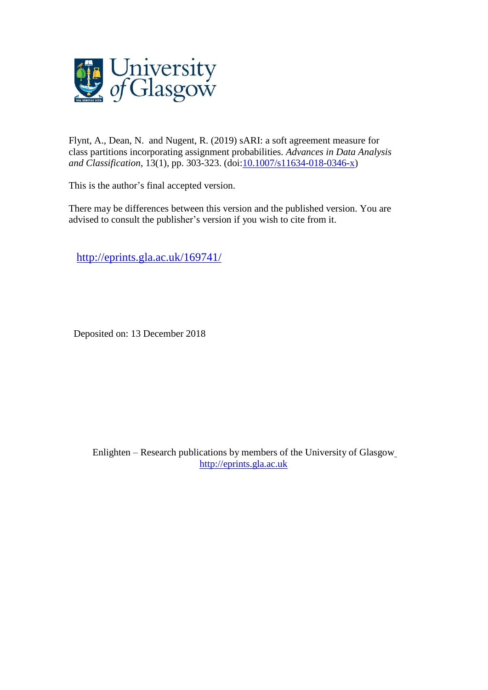

Flynt, A., Dean, N. and Nugent, R. (2019) sARI: a soft agreement measure for class partitions incorporating assignment probabilities. *Advances in Data Analysis and Classification*, 13(1), pp. 303-323. (doi[:10.1007/s11634-018-0346-x\)](http://dx.doi.org/10.1007/s11634-018-0346-x)

This is the author's final accepted version.

There may be differences between this version and the published version. You are advised to consult the publisher's version if you wish to cite from it.

<http://eprints.gla.ac.uk/169741/>

Deposited on: 13 December 2018

Enlighten – Research publications by members of the University of Glasgo[w](http://eprints.gla.ac.uk/) [http://eprints.gla.ac.uk](http://eprints.gla.ac.uk/)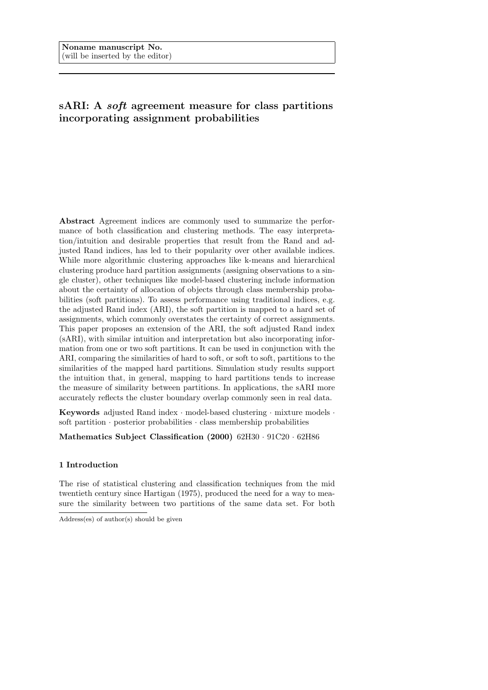# sARI: A soft agreement measure for class partitions incorporating assignment probabilities

Abstract Agreement indices are commonly used to summarize the performance of both classification and clustering methods. The easy interpretation/intuition and desirable properties that result from the Rand and adjusted Rand indices, has led to their popularity over other available indices. While more algorithmic clustering approaches like k-means and hierarchical clustering produce hard partition assignments (assigning observations to a single cluster), other techniques like model-based clustering include information about the certainty of allocation of objects through class membership probabilities (soft partitions). To assess performance using traditional indices, e.g. the adjusted Rand index (ARI), the soft partition is mapped to a hard set of assignments, which commonly overstates the certainty of correct assignments. This paper proposes an extension of the ARI, the soft adjusted Rand index (sARI), with similar intuition and interpretation but also incorporating information from one or two soft partitions. It can be used in conjunction with the ARI, comparing the similarities of hard to soft, or soft to soft, partitions to the similarities of the mapped hard partitions. Simulation study results support the intuition that, in general, mapping to hard partitions tends to increase the measure of similarity between partitions. In applications, the sARI more accurately reflects the cluster boundary overlap commonly seen in real data.

Keywords adjusted Rand index · model-based clustering · mixture models · soft partition  $\cdot$  posterior probabilities  $\cdot$  class membership probabilities

Mathematics Subject Classification (2000) 62H30 · 91C20 · 62H86

# 1 Introduction

The rise of statistical clustering and classification techniques from the mid twentieth century since Hartigan (1975), produced the need for a way to measure the similarity between two partitions of the same data set. For both

Address(es) of author(s) should be given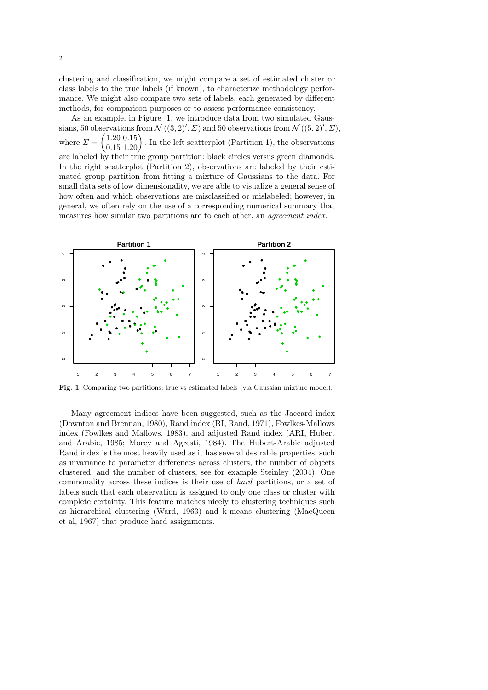clustering and classification, we might compare a set of estimated cluster or class labels to the true labels (if known), to characterize methodology performance. We might also compare two sets of labels, each generated by different methods, for comparison purposes or to assess performance consistency.

As an example, in Figure 1, we introduce data from two simulated Gaussians, 50 observations from  $\mathcal{N}((3,2)', \Sigma)$  and 50 observations from  $\mathcal{N}((5, 2)', \Sigma)$ , where  $\varSigma=$  $(1.20\;0.15)$  $0.15$  1.20 . In the left scatterplot (Partition 1), the observations are labeled by their true group partition: black circles versus green diamonds. In the right scatterplot (Partition 2), observations are labeled by their estimated group partition from fitting a mixture of Gaussians to the data. For small data sets of low dimensionality, we are able to visualize a general sense of how often and which observations are misclassified or mislabeled; however, in general, we often rely on the use of a corresponding numerical summary that measures how similar two partitions are to each other, an agreement index.



Fig. 1 Comparing two partitions: true vs estimated labels (via Gaussian mixture model).

Many agreement indices have been suggested, such as the Jaccard index (Downton and Brennan, 1980), Rand index (RI, Rand, 1971), Fowlkes-Mallows index (Fowlkes and Mallows, 1983), and adjusted Rand index (ARI, Hubert and Arabie, 1985; Morey and Agresti, 1984). The Hubert-Arabie adjusted Rand index is the most heavily used as it has several desirable properties, such as invariance to parameter differences across clusters, the number of objects clustered, and the number of clusters, see for example Steinley (2004). One commonality across these indices is their use of hard partitions, or a set of labels such that each observation is assigned to only one class or cluster with complete certainty. This feature matches nicely to clustering techniques such as hierarchical clustering (Ward, 1963) and k-means clustering (MacQueen et al, 1967) that produce hard assignments.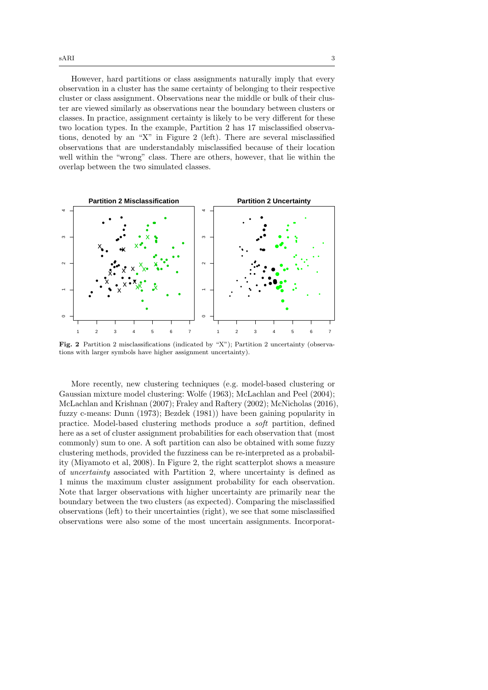However, hard partitions or class assignments naturally imply that every observation in a cluster has the same certainty of belonging to their respective cluster or class assignment. Observations near the middle or bulk of their cluster are viewed similarly as observations near the boundary between clusters or classes. In practice, assignment certainty is likely to be very different for these two location types. In the example, Partition 2 has 17 misclassified observations, denoted by an "X" in Figure 2 (left). There are several misclassified observations that are understandably misclassified because of their location well within the "wrong" class. There are others, however, that lie within the overlap between the two simulated classes.



Fig. 2 Partition 2 misclassifications (indicated by "X"); Partition 2 uncertainty (observations with larger symbols have higher assignment uncertainty).

More recently, new clustering techniques (e.g. model-based clustering or Gaussian mixture model clustering: Wolfe (1963); McLachlan and Peel (2004); McLachlan and Krishnan (2007); Fraley and Raftery (2002); McNicholas (2016), fuzzy c-means: Dunn (1973); Bezdek (1981)) have been gaining popularity in practice. Model-based clustering methods produce a soft partition, defined here as a set of cluster assignment probabilities for each observation that (most commonly) sum to one. A soft partition can also be obtained with some fuzzy clustering methods, provided the fuzziness can be re-interpreted as a probability (Miyamoto et al, 2008). In Figure 2, the right scatterplot shows a measure of uncertainty associated with Partition 2, where uncertainty is defined as 1 minus the maximum cluster assignment probability for each observation. Note that larger observations with higher uncertainty are primarily near the boundary between the two clusters (as expected). Comparing the misclassified observations (left) to their uncertainties (right), we see that some misclassified observations were also some of the most uncertain assignments. Incorporat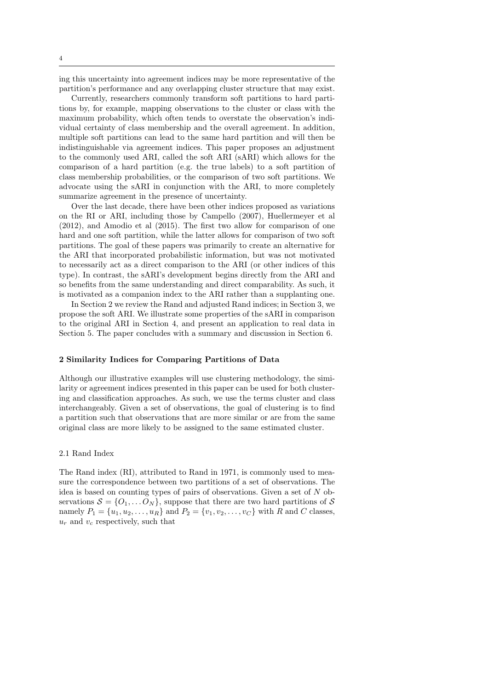ing this uncertainty into agreement indices may be more representative of the partition's performance and any overlapping cluster structure that may exist.

Currently, researchers commonly transform soft partitions to hard partitions by, for example, mapping observations to the cluster or class with the maximum probability, which often tends to overstate the observation's individual certainty of class membership and the overall agreement. In addition, multiple soft partitions can lead to the same hard partition and will then be indistinguishable via agreement indices. This paper proposes an adjustment to the commonly used ARI, called the soft ARI (sARI) which allows for the comparison of a hard partition (e.g. the true labels) to a soft partition of class membership probabilities, or the comparison of two soft partitions. We advocate using the sARI in conjunction with the ARI, to more completely summarize agreement in the presence of uncertainty.

Over the last decade, there have been other indices proposed as variations on the RI or ARI, including those by Campello (2007), Huellermeyer et al (2012), and Amodio et al (2015). The first two allow for comparison of one hard and one soft partition, while the latter allows for comparison of two soft partitions. The goal of these papers was primarily to create an alternative for the ARI that incorporated probabilistic information, but was not motivated to necessarily act as a direct comparison to the ARI (or other indices of this type). In contrast, the sARI's development begins directly from the ARI and so benefits from the same understanding and direct comparability. As such, it is motivated as a companion index to the ARI rather than a supplanting one.

In Section 2 we review the Rand and adjusted Rand indices; in Section 3, we propose the soft ARI. We illustrate some properties of the sARI in comparison to the original ARI in Section 4, and present an application to real data in Section 5. The paper concludes with a summary and discussion in Section 6.

## 2 Similarity Indices for Comparing Partitions of Data

Although our illustrative examples will use clustering methodology, the similarity or agreement indices presented in this paper can be used for both clustering and classification approaches. As such, we use the terms cluster and class interchangeably. Given a set of observations, the goal of clustering is to find a partition such that observations that are more similar or are from the same original class are more likely to be assigned to the same estimated cluster.

# 2.1 Rand Index

The Rand index (RI), attributed to Rand in 1971, is commonly used to measure the correspondence between two partitions of a set of observations. The idea is based on counting types of pairs of observations. Given a set of  $N$  observations  $S = \{O_1, \ldots O_N\}$ , suppose that there are two hard partitions of S namely  $P_1 = \{u_1, u_2, \dots, u_R\}$  and  $P_2 = \{v_1, v_2, \dots, v_C\}$  with R and C classes,  $u_r$  and  $v_c$  respectively, such that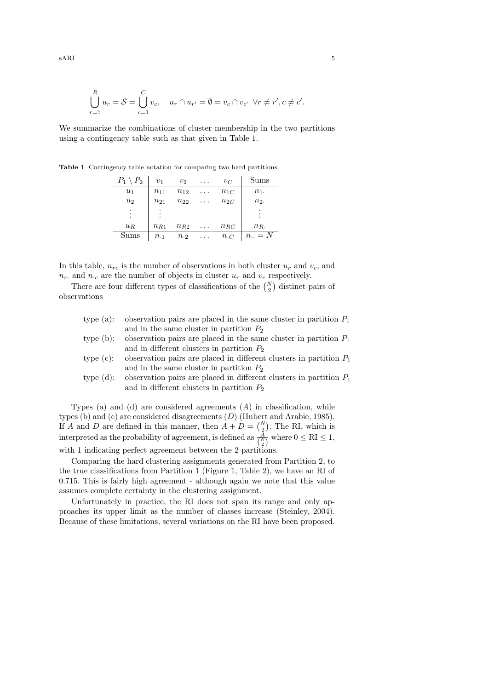$$
\bigcup_{r=1}^{R} u_r = \mathcal{S} = \bigcup_{c=1}^{C} v_c, \quad u_r \cap u_{r'} = \emptyset = v_c \cap v_{c'} \ \forall r \neq r', c \neq c'.
$$

We summarize the combinations of cluster membership in the two partitions using a contingency table such as that given in Table 1.

Table 1 Contingency table notation for comparing two hard partitions.

| $P_1$<br>$\setminus P_2$ | v <sub>1</sub> | $v_{2}$       | $\cdots$ | $v_C$         | Sums                 |
|--------------------------|----------------|---------------|----------|---------------|----------------------|
| $u_1$                    | $n_{11}$       | $n_{12}$      | $\cdots$ | $n_{1C}$      | $n_1$ .              |
| u <sub>2</sub>           | $n_{21}$       | $n_{22}$      | $\cdots$ | $n_{2C}$      | n <sub>2</sub>       |
| ٠<br>٠                   |                |               |          |               | ٠<br>٠               |
| $u_R$                    | $n_{R1}$       | $n_{R2}$      | $\cdots$ | $n_{RC}$      | $n_{R}$ .            |
| Sums                     | $n_{\cdot1}$   | $n_{\cdot 2}$ | $\cdots$ | $n_{\cdot C}$ | $n_{\cdot\cdot} = N$ |

In this table,  $n_{rc}$  is the number of observations in both cluster  $u_r$  and  $v_c$ , and  $n_r$  and  $n_c$  are the number of objects in cluster  $u_r$  and  $v_c$  respectively.

There are four different types of classifications of the  $\binom{N}{2}$  distinct pairs of observations

|              | type (a): observation pairs are placed in the same cluster in partition $P_1$   |
|--------------|---------------------------------------------------------------------------------|
|              | and in the same cluster in partition $P_2$                                      |
|              | type (b): observation pairs are placed in the same cluster in partition $P_1$   |
|              | and in different clusters in partition $P_2$                                    |
|              | type (c): observation pairs are placed in different clusters in partition $P_1$ |
|              | and in the same cluster in partition $P_2$                                      |
| type $(d)$ : | observation pairs are placed in different clusters in partition $P_1$           |
|              | and in different clusters in partition $P_2$                                    |
|              |                                                                                 |

Types (a) and (d) are considered agreements  $(A)$  in classification, while types (b) and (c) are considered disagreements (D) (Hubert and Arabie, 1985). If A and D are defined in this manner, then  $A + D = {N \choose 2}$ . The RI, which is interpreted as the probability of agreement, is defined as  $\frac{A}{\binom{N}{2}}$  where  $0 \leq RI \leq 1$ , with 1 indicating perfect agreement between the 2 partitions.

Comparing the hard clustering assignments generated from Partition 2, to the true classifications from Partition 1 (Figure 1, Table 2), we have an RI of 0.715. This is fairly high agreement - although again we note that this value assumes complete certainty in the clustering assignment.

Unfortunately in practice, the RI does not span its range and only approaches its upper limit as the number of classes increase (Steinley, 2004). Because of these limitations, several variations on the RI have been proposed.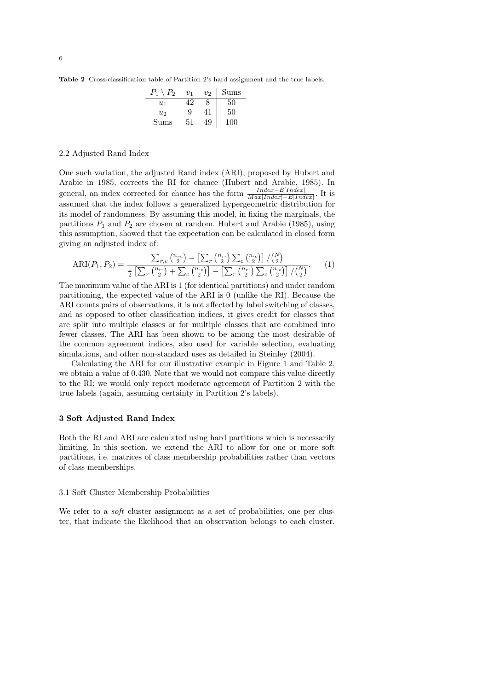Table 2 Cross-classification table of Partition 2's hard assignment and the true labels.

| P.<br>Р, | $v_{1}$ | $v_2$ | Sums |
|----------|---------|-------|------|
| $u_1$    |         | x     | 50   |
| $u_2$    | 9       |       | 50   |
| Sums     | 51      | Į9    |      |

#### 2.2 Adjusted Rand Index

One such variation, the adjusted Rand index (ARI), proposed by Hubert and Arabie in 1985, corrects the RI for chance (Hubert and Arabie, 1985). In general, an index corrected for chance has the form  $\frac{Index - E[Index]}{Max[Index] - E[Index]}$ . It is assumed that the index follows a generalized hypergeometric distribution for its model of randomness. By assuming this model, in fixing the marginals, the partitions  $P_1$  and  $P_2$  are chosen at random. Hubert and Arabie (1985), using this assumption, showed that the expectation can be calculated in closed form giving an adjusted index of:

$$
ARI(P_1, P_2) = \frac{\sum_{r,c} {n_{rc} \choose 2} - \left[\sum_r {n_{r} \choose 2} \sum_c {n_{c} \choose 2}\right] / {N \choose 2}}{\frac{1}{2} \left[\sum_r {n_{r} \choose 2} + \sum_c {n_{c} \choose 2}\right] - \left[\sum_r {n_{r} \choose 2} \sum_c {n_{c} \choose 2}\right] / {N \choose 2}}.
$$
(1)

The maximum value of the ARI is 1 (for identical partitions) and under random partitioning, the expected value of the ARI is 0 (unlike the RI). Because the ARI counts pairs of observations, it is not affected by label switching of classes, and as opposed to other classification indices, it gives credit for classes that are split into multiple classes or for multiple classes that are combined into fewer classes. The ARI has been shown to be among the most desirable of the common agreement indices, also used for variable selection, evaluating simulations, and other non-standard uses as detailed in Steinley (2004).

Calculating the ARI for our illustrative example in Figure 1 and Table 2, we obtain a value of 0.430. Note that we would not compare this value directly to the RI; we would only report moderate agreement of Partition 2 with the true labels (again, assuming certainty in Partition 2's labels).

# 3 Soft Adjusted Rand Index

Both the RI and ARI are calculated using hard partitions which is necessarily limiting. In this section, we extend the ARI to allow for one or more soft partitions, i.e. matrices of class membership probabilities rather than vectors of class memberships.

#### 3.1 Soft Cluster Membership Probabilities

We refer to a *soft* cluster assignment as a set of probabilities, one per cluster, that indicate the likelihood that an observation belongs to each cluster.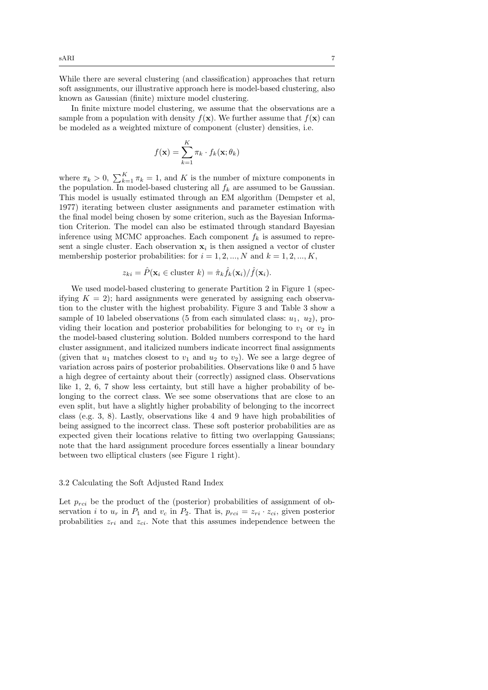While there are several clustering (and classification) approaches that return soft assignments, our illustrative approach here is model-based clustering, also known as Gaussian (finite) mixture model clustering.

In finite mixture model clustering, we assume that the observations are a sample from a population with density  $f(\mathbf{x})$ . We further assume that  $f(\mathbf{x})$  can be modeled as a weighted mixture of component (cluster) densities, i.e.

$$
f(\mathbf{x}) = \sum_{k=1}^{K} \pi_k \cdot f_k(\mathbf{x}; \theta_k)
$$

where  $\pi_k > 0$ ,  $\sum_{k=1}^K \pi_k = 1$ , and K is the number of mixture components in the population. In model-based clustering all  $f_k$  are assumed to be Gaussian. This model is usually estimated through an EM algorithm (Dempster et al, 1977) iterating between cluster assignments and parameter estimation with the final model being chosen by some criterion, such as the Bayesian Information Criterion. The model can also be estimated through standard Bayesian inference using MCMC approaches. Each component  $f_k$  is assumed to represent a single cluster. Each observation  $x_i$  is then assigned a vector of cluster membership posterior probabilities: for  $i = 1, 2, ..., N$  and  $k = 1, 2, ..., K$ ,

$$
z_{ki} = \hat{P}(\mathbf{x}_i \in \text{cluster } k) = \hat{\pi}_k \hat{f}_k(\mathbf{x}_i) / \hat{f}(\mathbf{x}_i).
$$

We used model-based clustering to generate Partition 2 in Figure 1 (specifying  $K = 2$ ; hard assignments were generated by assigning each observation to the cluster with the highest probability. Figure 3 and Table 3 show a sample of 10 labeled observations (5 from each simulated class:  $u_1, u_2$ ), providing their location and posterior probabilities for belonging to  $v_1$  or  $v_2$  in the model-based clustering solution. Bolded numbers correspond to the hard cluster assignment, and italicized numbers indicate incorrect final assignments (given that  $u_1$  matches closest to  $v_1$  and  $u_2$  to  $v_2$ ). We see a large degree of variation across pairs of posterior probabilities. Observations like 0 and 5 have a high degree of certainty about their (correctly) assigned class. Observations like 1, 2, 6, 7 show less certainty, but still have a higher probability of belonging to the correct class. We see some observations that are close to an even split, but have a slightly higher probability of belonging to the incorrect class (e.g. 3, 8). Lastly, observations like 4 and 9 have high probabilities of being assigned to the incorrect class. These soft posterior probabilities are as expected given their locations relative to fitting two overlapping Gaussians; note that the hard assignment procedure forces essentially a linear boundary between two elliptical clusters (see Figure 1 right).

#### 3.2 Calculating the Soft Adjusted Rand Index

Let  $p_{rci}$  be the product of the (posterior) probabilities of assignment of observation i to  $u_r$  in  $P_1$  and  $v_c$  in  $P_2$ . That is,  $p_{rci} = z_{ri} \cdot z_{ci}$ , given posterior probabilities  $z_{ri}$  and  $z_{ci}$ . Note that this assumes independence between the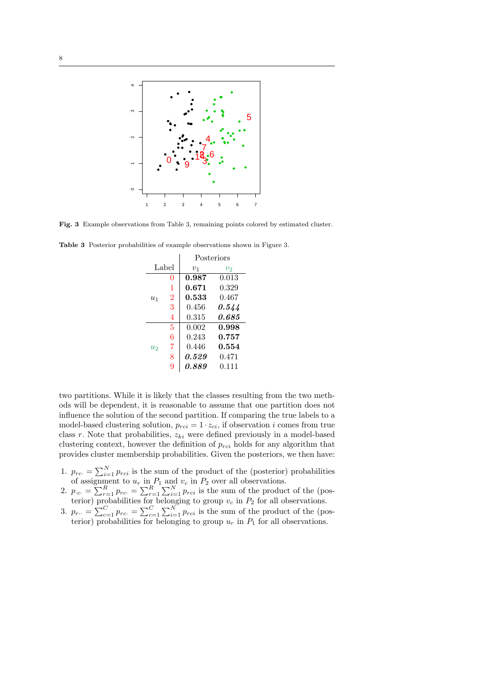

Fig. 3 Example observations from Table 3, remaining points colored by estimated cluster.

|       |                | Posteriors |       |  |  |
|-------|----------------|------------|-------|--|--|
| Label |                | $v_1$      | $v_2$ |  |  |
|       | 0              | 0.987      | 0.013 |  |  |
|       | 1              | 0.671      | 0.329 |  |  |
| $u_1$ | $\overline{2}$ | 0.533      | 0.467 |  |  |
|       | 3              | 0.456      | 0.544 |  |  |
|       | 4              | 0.315      | 0.685 |  |  |
|       | 5              | 0.002      | 0.998 |  |  |
|       | 6              | 0.243      | 0.757 |  |  |
| $u_2$ | 7              | 0.446      | 0.554 |  |  |
|       | 8              | 0.529      | 0.471 |  |  |
|       | 9              | 0.889      | 0.111 |  |  |

Table 3 Posterior probabilities of example observations shown in Figure 3.

two partitions. While it is likely that the classes resulting from the two methods will be dependent, it is reasonable to assume that one partition does not influence the solution of the second partition. If comparing the true labels to a model-based clustering solution,  $p_{rci} = 1 \cdot z_{ci}$ , if observation i comes from true class  $r$ . Note that probabilities,  $z_{ki}$  were defined previously in a model-based clustering context, however the definition of  $p_{rci}$  holds for any algorithm that provides cluster membership probabilities. Given the posteriors, we then have:

- 1.  $p_{rc} = \sum_{i=1}^{N} p_{rci}$  is the sum of the product of the (posterior) probabilities of assignment to  $u_r$  in  $P_1$  and  $v_c$  in  $P_2$  over all observations.
- 2.  $p_{c} = \sum_{r=1}^{R} p_{rc} = \sum_{r=1}^{R} \sum_{i=1}^{N} p_{rci}$  is the sum of the product of the (posterior) probabilities for belonging to group  $v_c$  in  $P_2$  for all observations.
- 3.  $p_{r\cdot\cdot} = \sum_{c=1}^{C} p_{rc\cdot} = \sum_{c=1}^{C} \sum_{i=1}^{N} p_{rci}$  is the sum of the product of the (posterior) probabilities for belonging to group  $u_r$  in  $P_1$  for all observations.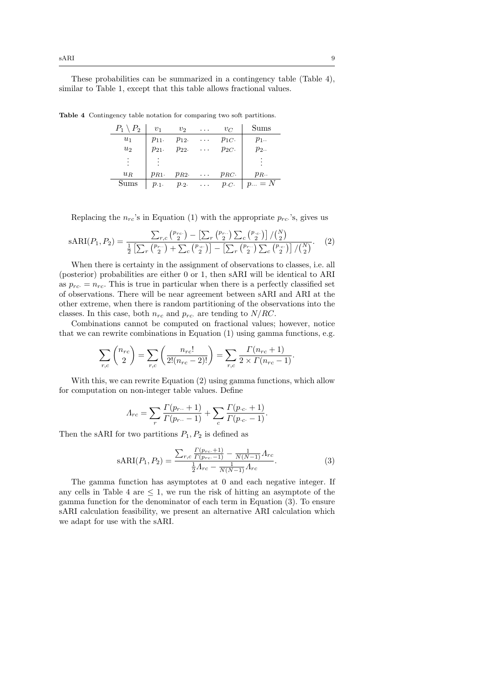These probabilities can be summarized in a contingency table (Table 4), similar to Table 1, except that this table allows fractional values.

| $P_1 \setminus P_2$ | $v_1$      | $v_2$    | $\cdots$ | $v_C$      | Sums        |
|---------------------|------------|----------|----------|------------|-------------|
| $u_1$               | $p_{11}$ . | $p_{12}$ | $\cdots$ | $p_{1C}$   | $p_1$ .     |
| $u_2$               | $p_{21}$ . | $p_{22}$ | $\cdots$ | $p_{2C}$ . | $p_2$ .     |
| ٠<br>$\bullet$      |            |          |          |            |             |
| $u_R$               | $p_{R1}$   | $p_{R2}$ | $\cdots$ | $p_{RC}$ . | $p_R$ .     |
| ıms                 | $p_{.1}$ . | $p_{.2}$ | .        | p.c.       | $  p = N  $ |

Table 4 Contingency table notation for comparing two soft partitions.

Replacing the  $n_{rc}$ 's in Equation (1) with the appropriate  $p_{rc}$ 's, gives us

$$
\text{sARI}(P_1, P_2) = \frac{\sum_{r,c} {p_{rc} \choose 2} - \left[\sum_r {p_{r} \choose 2}\right] \sum_c {p_{\cdot c} \choose 2}\right] / {N \choose 2}}{\frac{1}{2} \left[\sum_r {p_{r} \choose 2} + \sum_c {p_{\cdot c} \choose 2}\right] - \left[\sum_r {p_{r} \choose 2}\right] \sum_c {p_{\cdot c} \choose 2}\right] / {N \choose 2}}.
$$
(2)

When there is certainty in the assignment of observations to classes, i.e. all (posterior) probabilities are either 0 or 1, then sARI will be identical to ARI as  $p_{rc} = n_{rc}$ . This is true in particular when there is a perfectly classified set of observations. There will be near agreement between sARI and ARI at the other extreme, when there is random partitioning of the observations into the classes. In this case, both  $n_{rc}$  and  $p_{rc}$  are tending to  $N/RC$ .

Combinations cannot be computed on fractional values; however, notice that we can rewrite combinations in Equation (1) using gamma functions, e.g.

$$
\sum_{r,c} \binom{n_{rc}}{2} = \sum_{r,c} \left( \frac{n_{rc}!}{2!(n_{rc}-2)!} \right) = \sum_{r,c} \frac{\Gamma(n_{rc}+1)}{2 \times \Gamma(n_{rc}-1)}.
$$

With this, we can rewrite Equation (2) using gamma functions, which allow for computation on non-integer table values. Define

$$
A_{rc} = \sum_{r} \frac{\Gamma(p_{r..} + 1)}{\Gamma(p_{r..} - 1)} + \sum_{c} \frac{\Gamma(p_{c.} + 1)}{\Gamma(p_{c.} - 1)}.
$$

Then the sARI for two partitions  $P_1, P_2$  is defined as

$$
sARI(P_1, P_2) = \frac{\sum_{r,c} \frac{\Gamma(p_{rc} + 1)}{\Gamma(p_{rc} - 1)} - \frac{1}{N(N-1)} \Lambda_{rc}}{\frac{1}{2} \Lambda_{rc} - \frac{1}{N(N-1)} \Lambda_{rc}}.
$$
\n(3)

The gamma function has asymptotes at 0 and each negative integer. If any cells in Table 4 are  $\leq 1$ , we run the risk of hitting an asymptote of the gamma function for the denominator of each term in Equation (3). To ensure sARI calculation feasibility, we present an alternative ARI calculation which we adapt for use with the sARI.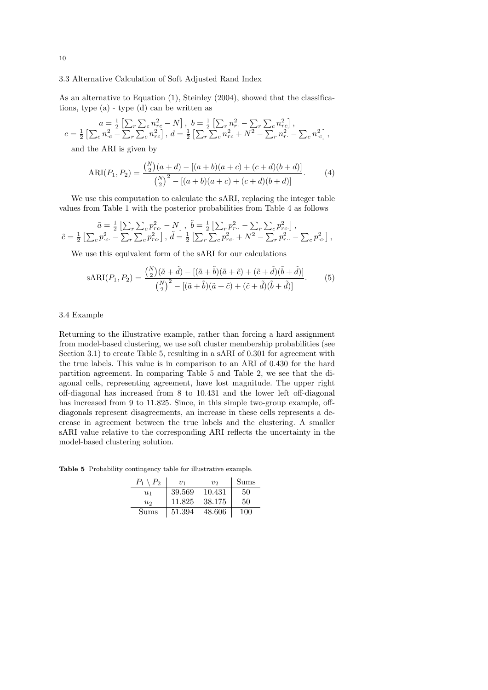# 3.3 Alternative Calculation of Soft Adjusted Rand Index

As an alternative to Equation  $(1)$ , Steinley  $(2004)$ , showed that the classifications, type (a) - type (d) can be written as

$$
a = \frac{1}{2} \left[ \sum_{r} \sum_{c} n_{rc}^2 - N \right], b = \frac{1}{2} \left[ \sum_{r} n_{rc}^2 - \sum_{r} \sum_{c} n_{rc}^2 \right],
$$
  

$$
c = \frac{1}{2} \left[ \sum_{c} n_{cc}^2 - \sum_{r} \sum_{c} n_{rc}^2 \right], d = \frac{1}{2} \left[ \sum_{r} \sum_{c} n_{rc}^2 + N^2 - \sum_{r} n_{rc}^2 - \sum_{c} n_{cc}^2 \right],
$$

and the ARI is given by

$$
ARI(P_1, P_2) = \frac{\binom{N}{2}(a+d) - [(a+b)(a+c) + (c+d)(b+d)]}{\binom{N}{2}^2 - [(a+b)(a+c) + (c+d)(b+d)]}.
$$
 (4)

We use this computation to calculate the sARI, replacing the integer table values from Table 1 with the posterior probabilities from Table 4 as follows

$$
\begin{aligned}\n\tilde{a} &= \tfrac{1}{2} \left[ \sum_{r} \sum_{c} p_{rc}^2 - N \right], \\
\tilde{b} &= \tfrac{1}{2} \left[ \sum_{r} p_{rc}^2 - \sum_{r} \sum_{c} p_{rc}^2 \right], \\
\tilde{c} &= \tfrac{1}{2} \left[ \sum_{c} p_{\cdot c}^2 - \sum_{r} \sum_{c} p_{rc}^2 \right], \\
\tilde{d} &= \tfrac{1}{2} \left[ \sum_{r} \sum_{c} p_{rc}^2 + N^2 - \sum_{r} p_{r}^2 - \sum_{c} p_{\cdot c}^2 \right],\n\end{aligned}
$$

We use this equivalent form of the sARI for our calculations

$$
sARI(P_1, P_2) = \frac{\binom{N}{2}(\tilde{a} + \tilde{d}) - [(\tilde{a} + \tilde{b})(\tilde{a} + \tilde{c}) + (\tilde{c} + \tilde{d})(\tilde{b} + \tilde{d})]}{\binom{N}{2}^2 - [(\tilde{a} + \tilde{b})(\tilde{a} + \tilde{c}) + (\tilde{c} + \tilde{d})(\tilde{b} + \tilde{d})]}.
$$
(5)

## 3.4 Example

Returning to the illustrative example, rather than forcing a hard assignment from model-based clustering, we use soft cluster membership probabilities (see Section 3.1) to create Table 5, resulting in a sARI of 0.301 for agreement with the true labels. This value is in comparison to an ARI of 0.430 for the hard partition agreement. In comparing Table 5 and Table 2, we see that the diagonal cells, representing agreement, have lost magnitude. The upper right off-diagonal has increased from 8 to 10.431 and the lower left off-diagonal has increased from 9 to 11.825. Since, in this simple two-group example, offdiagonals represent disagreements, an increase in these cells represents a decrease in agreement between the true labels and the clustering. A smaller sARI value relative to the corresponding ARI reflects the uncertainty in the model-based clustering solution.

Table 5 Probability contingency table for illustrative example.

| $P_1 \setminus P_2$ | $v_1$  | $v_{2}$ | Sums |
|---------------------|--------|---------|------|
| $u_1$               | 39.569 | 10.431  | 50   |
| $u_2$               | 11.825 | 38.175  | 50   |
| Sums                | 51.394 | 48.606  | 100  |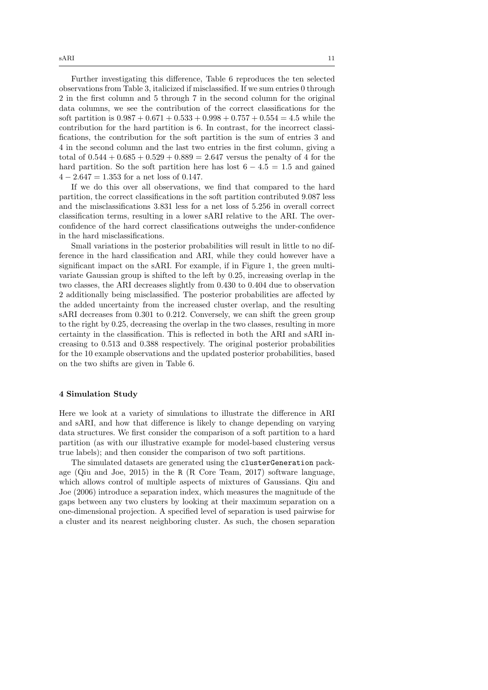Further investigating this difference, Table 6 reproduces the ten selected observations from Table 3, italicized if misclassified. If we sum entries 0 through 2 in the first column and 5 through 7 in the second column for the original data columns, we see the contribution of the correct classifications for the soft partition is  $0.987 + 0.671 + 0.533 + 0.998 + 0.757 + 0.554 = 4.5$  while the contribution for the hard partition is 6. In contrast, for the incorrect classifications, the contribution for the soft partition is the sum of entries 3 and 4 in the second column and the last two entries in the first column, giving a total of  $0.544 + 0.685 + 0.529 + 0.889 = 2.647$  versus the penalty of 4 for the hard partition. So the soft partition here has lost  $6 - 4.5 = 1.5$  and gained  $4 - 2.647 = 1.353$  for a net loss of 0.147.

If we do this over all observations, we find that compared to the hard partition, the correct classifications in the soft partition contributed 9.087 less and the misclassifications 3.831 less for a net loss of 5.256 in overall correct classification terms, resulting in a lower sARI relative to the ARI. The overconfidence of the hard correct classifications outweighs the under-confidence in the hard misclassifications.

Small variations in the posterior probabilities will result in little to no difference in the hard classification and ARI, while they could however have a significant impact on the sARI. For example, if in Figure 1, the green multivariate Gaussian group is shifted to the left by 0.25, increasing overlap in the two classes, the ARI decreases slightly from 0.430 to 0.404 due to observation 2 additionally being misclassified. The posterior probabilities are affected by the added uncertainty from the increased cluster overlap, and the resulting sARI decreases from 0.301 to 0.212. Conversely, we can shift the green group to the right by 0.25, decreasing the overlap in the two classes, resulting in more certainty in the classification. This is reflected in both the ARI and sARI increasing to 0.513 and 0.388 respectively. The original posterior probabilities for the 10 example observations and the updated posterior probabilities, based on the two shifts are given in Table 6.

#### 4 Simulation Study

Here we look at a variety of simulations to illustrate the difference in ARI and sARI, and how that difference is likely to change depending on varying data structures. We first consider the comparison of a soft partition to a hard partition (as with our illustrative example for model-based clustering versus true labels); and then consider the comparison of two soft partitions.

The simulated datasets are generated using the clusterGeneration package (Qiu and Joe, 2015) in the R (R Core Team, 2017) software language, which allows control of multiple aspects of mixtures of Gaussians. Qiu and Joe (2006) introduce a separation index, which measures the magnitude of the gaps between any two clusters by looking at their maximum separation on a one-dimensional projection. A specified level of separation is used pairwise for a cluster and its nearest neighboring cluster. As such, the chosen separation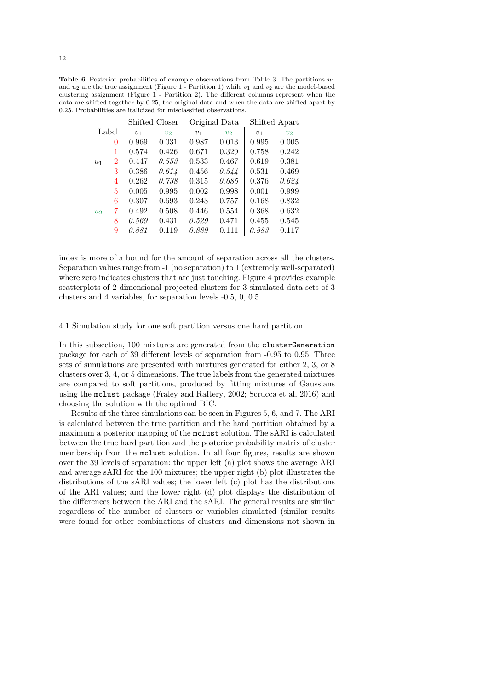**Table 6** Posterior probabilities of example observations from Table 3. The partitions  $u_1$ and  $u_2$  are the true assignment (Figure 1 - Partition 1) while  $v_1$  and  $v_2$  are the model-based clustering assignment (Figure 1 - Partition 2). The different columns represent when the data are shifted together by 0.25, the original data and when the data are shifted apart by 0.25. Probabilities are italicized for misclassified observations.

|                |                |                | Shifted Closer |                | Original Data  |       | Shifted Apart  |  |
|----------------|----------------|----------------|----------------|----------------|----------------|-------|----------------|--|
|                | Label          | v <sub>1</sub> | v <sub>2</sub> | v <sub>1</sub> | v <sub>2</sub> | $v_1$ | v <sub>2</sub> |  |
|                | $\overline{0}$ | 0.969          | 0.031          | 0.987          | 0.013          | 0.995 | 0.005          |  |
|                | 1              | 0.574          | 0.426          | 0.671          | 0.329          | 0.758 | 0.242          |  |
| $u_1$          | $\overline{2}$ | 0.447          | 0.553          | 0.533          | 0.467          | 0.619 | 0.381          |  |
|                | 3              | 0.386          | 0.614          | 0.456          | 0.544          | 0.531 | 0.469          |  |
|                | 4              | 0.262          | 0.738          | 0.315          | 0.685          | 0.376 | 0.624          |  |
|                | 5              | 0.005          | 0.995          | 0.002          | 0.998          | 0.001 | 0.999          |  |
|                | 6              | 0.307          | 0.693          | 0.243          | 0.757          | 0.168 | 0.832          |  |
| u <sub>2</sub> | 7              | 0.492          | 0.508          | 0.446          | 0.554          | 0.368 | 0.632          |  |
|                | 8              | 0.569          | 0.431          | 0.529          | 0.471          | 0.455 | 0.545          |  |
|                | 9              | 0.881          | 0.119          | 0.889          | 0.111          | 0.883 | 0.117          |  |

index is more of a bound for the amount of separation across all the clusters. Separation values range from -1 (no separation) to 1 (extremely well-separated) where zero indicates clusters that are just touching. Figure 4 provides example scatterplots of 2-dimensional projected clusters for 3 simulated data sets of 3 clusters and 4 variables, for separation levels -0.5, 0, 0.5.

## 4.1 Simulation study for one soft partition versus one hard partition

In this subsection, 100 mixtures are generated from the clusterGeneration package for each of 39 different levels of separation from -0.95 to 0.95. Three sets of simulations are presented with mixtures generated for either 2, 3, or 8 clusters over 3, 4, or 5 dimensions. The true labels from the generated mixtures are compared to soft partitions, produced by fitting mixtures of Gaussians using the mclust package (Fraley and Raftery, 2002; Scrucca et al, 2016) and choosing the solution with the optimal BIC.

Results of the three simulations can be seen in Figures 5, 6, and 7. The ARI is calculated between the true partition and the hard partition obtained by a maximum a posterior mapping of the mclust solution. The sARI is calculated between the true hard partition and the posterior probability matrix of cluster membership from the mclust solution. In all four figures, results are shown over the 39 levels of separation: the upper left (a) plot shows the average ARI and average sARI for the 100 mixtures; the upper right (b) plot illustrates the distributions of the sARI values; the lower left (c) plot has the distributions of the ARI values; and the lower right (d) plot displays the distribution of the differences between the ARI and the sARI. The general results are similar regardless of the number of clusters or variables simulated (similar results were found for other combinations of clusters and dimensions not shown in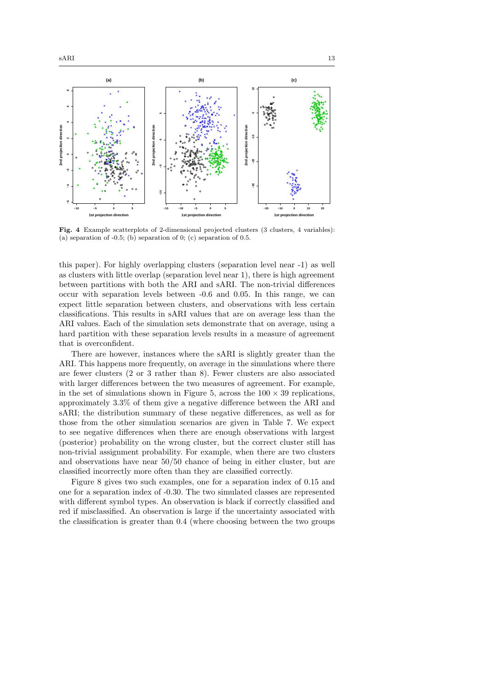

Fig. 4 Example scatterplots of 2-dimensional projected clusters (3 clusters, 4 variables): (a) separation of  $-0.5$ ; (b) separation of 0; (c) separation of 0.5.

this paper). For highly overlapping clusters (separation level near -1) as well as clusters with little overlap (separation level near 1), there is high agreement between partitions with both the ARI and sARI. The non-trivial differences occur with separation levels between -0.6 and 0.05. In this range, we can expect little separation between clusters, and observations with less certain classifications. This results in sARI values that are on average less than the ARI values. Each of the simulation sets demonstrate that on average, using a hard partition with these separation levels results in a measure of agreement that is overconfident.

There are however, instances where the sARI is slightly greater than the ARI. This happens more frequently, on average in the simulations where there are fewer clusters (2 or 3 rather than 8). Fewer clusters are also associated with larger differences between the two measures of agreement. For example, in the set of simulations shown in Figure 5, across the  $100 \times 39$  replications, approximately 3.3% of them give a negative difference between the ARI and sARI; the distribution summary of these negative differences, as well as for those from the other simulation scenarios are given in Table 7. We expect to see negative differences when there are enough observations with largest (posterior) probability on the wrong cluster, but the correct cluster still has non-trivial assignment probability. For example, when there are two clusters and observations have near 50/50 chance of being in either cluster, but are classified incorrectly more often than they are classified correctly.

Figure 8 gives two such examples, one for a separation index of 0.15 and one for a separation index of -0.30. The two simulated classes are represented with different symbol types. An observation is black if correctly classified and red if misclassified. An observation is large if the uncertainty associated with the classification is greater than 0.4 (where choosing between the two groups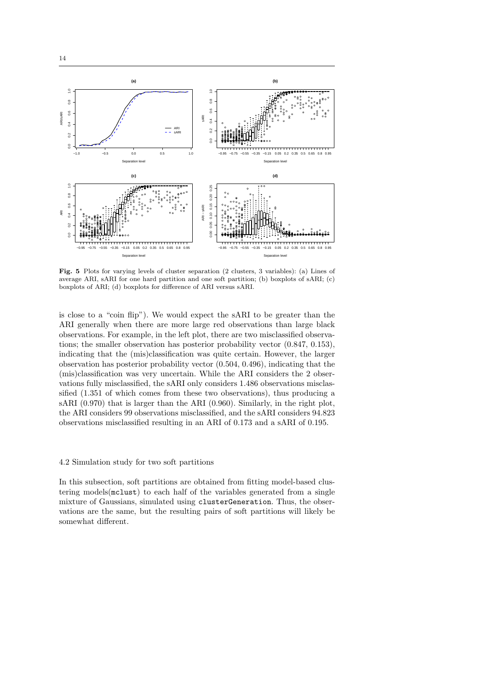

Fig. 5 Plots for varying levels of cluster separation (2 clusters, 3 variables): (a) Lines of average ARI, sARI for one hard partition and one soft partition; (b) boxplots of sARI; (c) boxplots of ARI; (d) boxplots for difference of ARI versus sARI.

is close to a "coin flip"). We would expect the sARI to be greater than the ARI generally when there are more large red observations than large black observations. For example, in the left plot, there are two misclassified observations; the smaller observation has posterior probability vector (0.847, 0.153), indicating that the (mis)classification was quite certain. However, the larger observation has posterior probability vector (0.504, 0.496), indicating that the (mis)classification was very uncertain. While the ARI considers the 2 observations fully misclassified, the sARI only considers 1.486 observations misclassified (1.351 of which comes from these two observations), thus producing a sARI (0.970) that is larger than the ARI (0.960). Similarly, in the right plot, the ARI considers 99 observations misclassified, and the sARI considers 94.823 observations misclassified resulting in an ARI of 0.173 and a sARI of 0.195.

## 4.2 Simulation study for two soft partitions

In this subsection, soft partitions are obtained from fitting model-based clustering models(mclust) to each half of the variables generated from a single mixture of Gaussians, simulated using clusterGeneration. Thus, the observations are the same, but the resulting pairs of soft partitions will likely be somewhat different.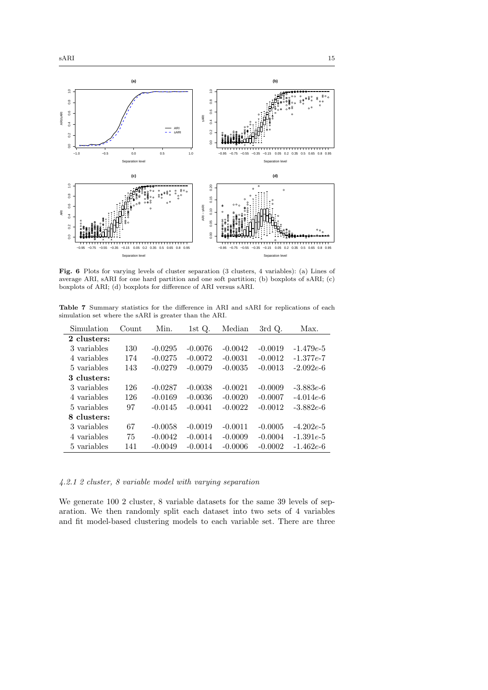

Fig. 6 Plots for varying levels of cluster separation (3 clusters, 4 variables): (a) Lines of average ARI, sARI for one hard partition and one soft partition; (b) boxplots of sARI; (c) boxplots of ARI; (d) boxplots for difference of ARI versus sARI.

Table 7 Summary statistics for the difference in ARI and sARI for replications of each simulation set where the sARI is greater than the ARI.

| 2 clusters:<br>$-0.0295$<br>$-0.0019$<br>$-1.479e-5$<br>3 variables<br>130<br>$-0.0076$<br>$-0.0042$<br>$-0.0275$<br>$-0.0072$<br>$-0.0031$<br>$-0.0012$<br>174<br>4 variables |             |
|--------------------------------------------------------------------------------------------------------------------------------------------------------------------------------|-------------|
|                                                                                                                                                                                |             |
|                                                                                                                                                                                |             |
|                                                                                                                                                                                | $-1.377e-7$ |
| $-0.0279$<br>143<br>$-0.0079$<br>$-0.0035$<br>$-0.0013$<br>$-2.092e-6$<br>5 variables                                                                                          |             |
| 3 clusters:                                                                                                                                                                    |             |
| 3 variables<br>126<br>$-0.0287$<br>$-0.0038$<br>$-0.0021$<br>$-0.0009$<br>$-3.883e-6$                                                                                          |             |
| 126<br>$-0.0169$<br>$-0.0036$<br>$-0.0020$<br>$-0.0007$<br>4 variables<br>$-4.014e-6$                                                                                          |             |
| $-0.0022$<br>$-0.0012$<br>$-0.0145$<br>$-0.0041$<br>$-3.882e-6$<br>97<br>5 variables                                                                                           |             |
| 8 clusters:                                                                                                                                                                    |             |
| 67<br>$-0.0058$<br>$-0.0019$<br>$-0.0011$<br>$-0.0005$<br>$-4.202e-5$<br>3 variables                                                                                           |             |
| 75<br>$-0.0042$<br>4 variables<br>$-0.0014$<br>$-0.0009$<br>$-0.0004$<br>$-1.391e-5$                                                                                           |             |
| $-0.0049$<br>$-0.0014$<br>$-0.0006$<br>$-0.0002$<br>$-1.462e-6$<br>5 variables<br>141                                                                                          |             |

4.2.1 2 cluster, 8 variable model with varying separation

We generate 100 2 cluster, 8 variable datasets for the same 39 levels of separation. We then randomly split each dataset into two sets of 4 variables and fit model-based clustering models to each variable set. There are three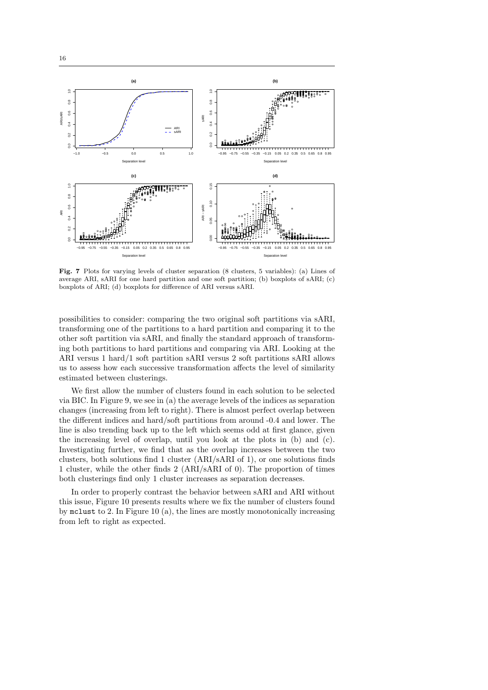

Fig. 7 Plots for varying levels of cluster separation (8 clusters, 5 variables): (a) Lines of average ARI, sARI for one hard partition and one soft partition; (b) boxplots of sARI; (c) boxplots of ARI; (d) boxplots for difference of ARI versus sARI.

possibilities to consider: comparing the two original soft partitions via sARI, transforming one of the partitions to a hard partition and comparing it to the other soft partition via sARI, and finally the standard approach of transforming both partitions to hard partitions and comparing via ARI. Looking at the ARI versus 1 hard/1 soft partition sARI versus 2 soft partitions sARI allows us to assess how each successive transformation affects the level of similarity estimated between clusterings.

We first allow the number of clusters found in each solution to be selected via BIC. In Figure 9, we see in (a) the average levels of the indices as separation changes (increasing from left to right). There is almost perfect overlap between the different indices and hard/soft partitions from around -0.4 and lower. The line is also trending back up to the left which seems odd at first glance, given the increasing level of overlap, until you look at the plots in (b) and (c). Investigating further, we find that as the overlap increases between the two clusters, both solutions find 1 cluster (ARI/sARI of 1), or one solutions finds 1 cluster, while the other finds 2 (ARI/sARI of 0). The proportion of times both clusterings find only 1 cluster increases as separation decreases.

In order to properly contrast the behavior between sARI and ARI without this issue, Figure 10 presents results where we fix the number of clusters found by mclust to 2. In Figure 10 (a), the lines are mostly monotonically increasing from left to right as expected.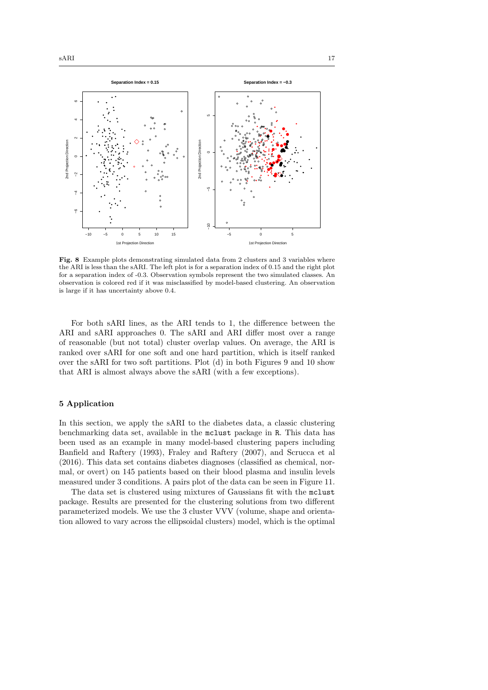

Fig. 8 Example plots demonstrating simulated data from 2 clusters and 3 variables where the ARI is less than the sARI. The left plot is for a separation index of 0.15 and the right plot for a separation index of -0.3. Observation symbols represent the two simulated classes. An observation is colored red if it was misclassified by model-based clustering. An observation is large if it has uncertainty above 0.4.

For both sARI lines, as the ARI tends to 1, the difference between the ARI and sARI approaches 0. The sARI and ARI differ most over a range of reasonable (but not total) cluster overlap values. On average, the ARI is ranked over sARI for one soft and one hard partition, which is itself ranked over the sARI for two soft partitions. Plot (d) in both Figures 9 and 10 show that ARI is almost always above the sARI (with a few exceptions).

# 5 Application

In this section, we apply the sARI to the diabetes data, a classic clustering benchmarking data set, available in the mclust package in R. This data has been used as an example in many model-based clustering papers including Banfield and Raftery (1993), Fraley and Raftery (2007), and Scrucca et al (2016). This data set contains diabetes diagnoses (classified as chemical, normal, or overt) on 145 patients based on their blood plasma and insulin levels measured under 3 conditions. A pairs plot of the data can be seen in Figure 11.

The data set is clustered using mixtures of Gaussians fit with the mclust package. Results are presented for the clustering solutions from two different parameterized models. We use the 3 cluster VVV (volume, shape and orientation allowed to vary across the ellipsoidal clusters) model, which is the optimal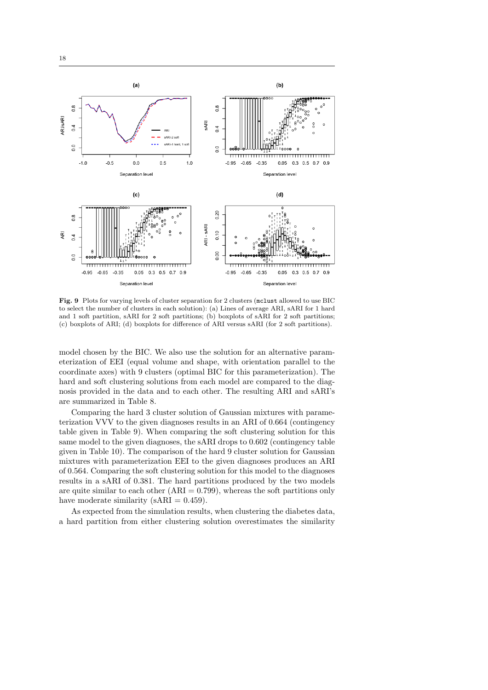

Fig. 9 Plots for varying levels of cluster separation for 2 clusters (mclust allowed to use BIC to select the number of clusters in each solution): (a) Lines of average ARI, sARI for 1 hard and 1 soft partition, sARI for 2 soft partitions; (b) boxplots of sARI for 2 soft partitions; (c) boxplots of ARI; (d) boxplots for difference of ARI versus sARI (for 2 soft partitions).

model chosen by the BIC. We also use the solution for an alternative parameterization of EEI (equal volume and shape, with orientation parallel to the coordinate axes) with 9 clusters (optimal BIC for this parameterization). The hard and soft clustering solutions from each model are compared to the diagnosis provided in the data and to each other. The resulting ARI and sARI's are summarized in Table 8.

Comparing the hard 3 cluster solution of Gaussian mixtures with parameterization VVV to the given diagnoses results in an ARI of 0.664 (contingency table given in Table 9). When comparing the soft clustering solution for this same model to the given diagnoses, the sARI drops to 0.602 (contingency table given in Table 10). The comparison of the hard 9 cluster solution for Gaussian mixtures with parameterization EEI to the given diagnoses produces an ARI of 0.564. Comparing the soft clustering solution for this model to the diagnoses results in a sARI of 0.381. The hard partitions produced by the two models are quite similar to each other  $(ARI = 0.799)$ , whereas the soft partitions only have moderate similarity ( $sARI = 0.459$ ).

As expected from the simulation results, when clustering the diabetes data, a hard partition from either clustering solution overestimates the similarity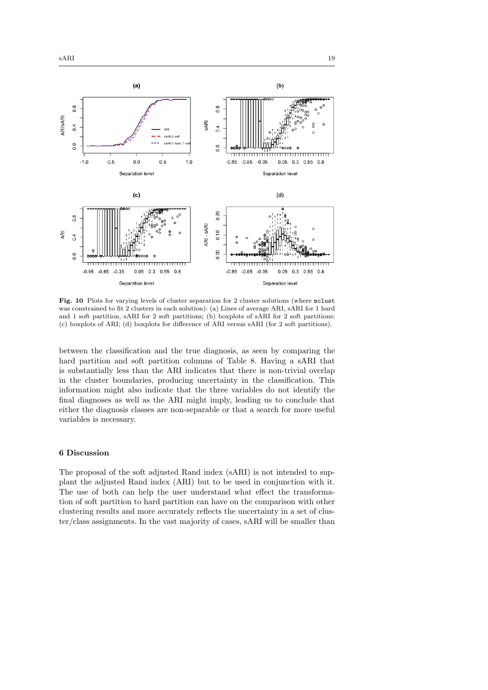$0.\overline{8}$ 

 $0.4$ 

 $0.0$ 

 $-1.0$ 

 $-0.5$ 

**ARI/SARI** 





Fig. 10 Plots for varying levels of cluster separation for 2 cluster solutions (where mclust was constrained to fit 2 clusters in each solution): (a) Lines of average ARI, sARI for 1 hard and 1 soft partition, sARI for 2 soft partitions; (b) boxplots of sARI for 2 soft partitions; (c) boxplots of ARI; (d) boxplots for difference of ARI versus sARI (for 2 soft partitions).

between the classification and the true diagnosis, as seen by comparing the hard partition and soft partition columns of Table 8. Having a sARI that is substantially less than the ARI indicates that there is non-trivial overlap in the cluster boundaries, producing uncertainty in the classification. This information might also indicate that the three variables do not identify the final diagnoses as well as the ARI might imply, leading us to conclude that either the diagnosis classes are non-separable or that a search for more useful variables is necessary.

# 6 Discussion

The proposal of the soft adjusted Rand index (sARI) is not intended to supplant the adjusted Rand index (ARI) but to be used in conjunction with it. The use of both can help the user understand what effect the transformation of soft partition to hard partition can have on the comparison with other clustering results and more accurately reflects the uncertainty in a set of cluster/class assignments. In the vast majority of cases, sARI will be smaller than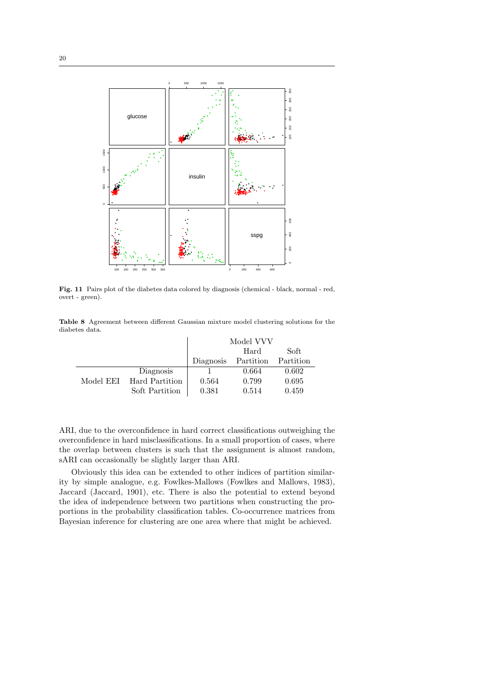

Fig. 11 Pairs plot of the diabetes data colored by diagnosis (chemical - black, normal - red, overt - green).

Table 8 Agreement between different Gaussian mixture model clustering solutions for the diabetes data.

|           |                |           | Model VVV |           |
|-----------|----------------|-----------|-----------|-----------|
|           |                |           | Hard      | Soft      |
|           |                | Diagnosis | Partition | Partition |
|           | Diagnosis      |           | 0.664     | 0.602     |
| Model EEI | Hard Partition | 0.564     | 0.799     | 0.695     |
|           | Soft Partition | 0.381     | 0.514     | 0.459     |

ARI, due to the overconfidence in hard correct classifications outweighing the overconfidence in hard misclassifications. In a small proportion of cases, where the overlap between clusters is such that the assignment is almost random, sARI can occasionally be slightly larger than ARI.

Obviously this idea can be extended to other indices of partition similarity by simple analogue, e.g. Fowlkes-Mallows (Fowlkes and Mallows, 1983), Jaccard (Jaccard, 1901), etc. There is also the potential to extend beyond the idea of independence between two partitions when constructing the proportions in the probability classification tables. Co-occurrence matrices from Bayesian inference for clustering are one area where that might be achieved.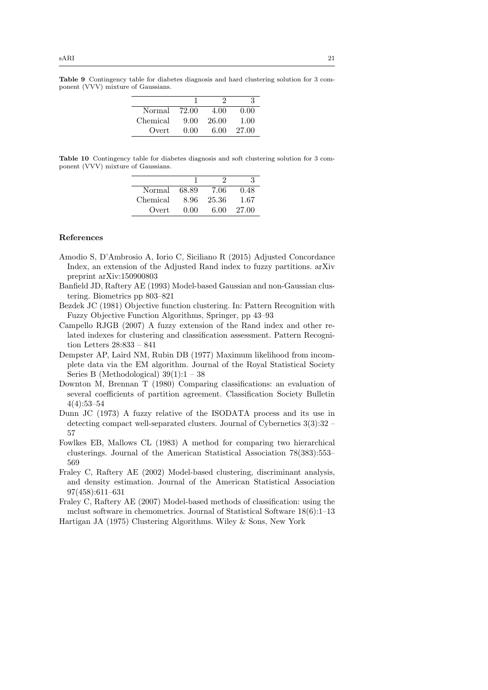| Normal   | 72.00 | 4.00  | 0.00  |
|----------|-------|-------|-------|
| Chemical | 9.00  | 26.00 | 1.00  |
| Overt    | 0.00  | 6.00  | 27.00 |

Table 9 Contingency table for diabetes diagnosis and hard clustering solution for 3 component (VVV) mixture of Gaussians.

Table 10 Contingency table for diabetes diagnosis and soft clustering solution for 3 component (VVV) mixture of Gaussians.

| Normal   | 68.89 | 7.06  | 0.48  |
|----------|-------|-------|-------|
| Chemical | 8.96  | 25.36 | 1.67  |
| Overt    | 0.00  | 6.00  | 27.00 |

## References

- Amodio S, D'Ambrosio A, Iorio C, Siciliano R (2015) Adjusted Concordance Index, an extension of the Adjusted Rand index to fuzzy partitions. arXiv preprint arXiv:150900803
- Banfield JD, Raftery AE (1993) Model-based Gaussian and non-Gaussian clustering. Biometrics pp 803–821
- Bezdek JC (1981) Objective function clustering. In: Pattern Recognition with Fuzzy Objective Function Algorithms, Springer, pp 43–93
- Campello RJGB (2007) A fuzzy extension of the Rand index and other related indexes for clustering and classification assessment. Pattern Recognition Letters 28:833 – 841
- Dempster AP, Laird NM, Rubin DB (1977) Maximum likelihood from incomplete data via the EM algorithm. Journal of the Royal Statistical Society Series B (Methodological)  $39(1):1 - 38$
- Downton M, Brennan T (1980) Comparing classifications: an evaluation of several coefficients of partition agreement. Classification Society Bulletin 4(4):53–54
- Dunn JC (1973) A fuzzy relative of the ISODATA process and its use in detecting compact well-separated clusters. Journal of Cybernetics 3(3):32 – 57
- Fowlkes EB, Mallows CL (1983) A method for comparing two hierarchical clusterings. Journal of the American Statistical Association 78(383):553– 569
- Fraley C, Raftery AE (2002) Model-based clustering, discriminant analysis, and density estimation. Journal of the American Statistical Association 97(458):611–631
- Fraley C, Raftery AE (2007) Model-based methods of classification: using the mclust software in chemometrics. Journal of Statistical Software 18(6):1–13 Hartigan JA (1975) Clustering Algorithms. Wiley & Sons, New York